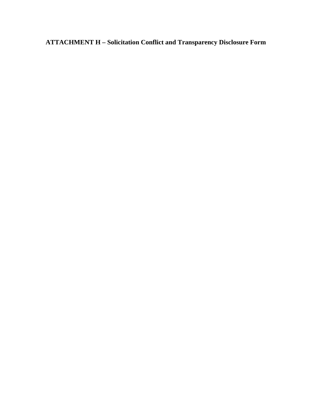**ATTACHMENT H – Solicitation Conflict and Transparency Disclosure Form**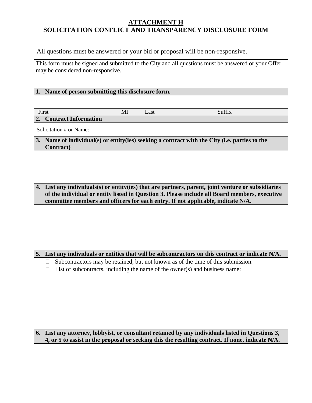All questions must be answered or your bid or proposal will be non-responsive.

This form must be signed and submitted to the City and all questions must be answered or your Offer may be considered non-responsive.

**1. Name of person submitting this disclosure form.**

First Suffix

**2. Contract Information**

Solicitation # or Name:

**3. Name of individual(s) or entity(ies) seeking a contract with the City (i.e. parties to the Contract)**

**4. List any individuals(s) or entity(ies) that are partners, parent, joint venture or subsidiaries of the individual or entity listed in Question 3. Please include all Board members, executive committee members and officers for each entry. If not applicable, indicate N/A.**

**5. List any individuals or entities that will be subcontractors on this contract or indicate N/A.**

 $\Box$  Subcontractors may be retained, but not known as of the time of this submission.

 $\Box$  List of subcontracts, including the name of the owner(s) and business name:

**6. List any attorney, lobbyist, or consultant retained by any individuals listed in Questions 3, 4, or 5 to assist in the proposal or seeking this the resulting contract. If none, indicate N/A.**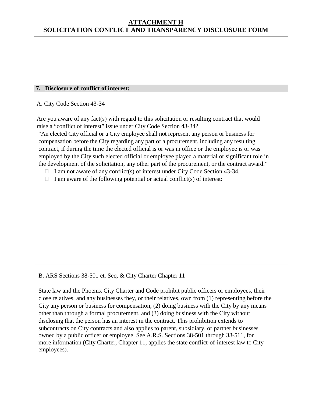### **7. Disclosure of conflict of interest:**

A. City Code Section 43-34

Are you aware of any fact(s) with regard to this solicitation or resulting contract that would raise a "conflict of interest" issue under City Code Section 43-34?

"An elected City official or a City employee shall not represent any person or business for compensation before the City regarding any part of a procurement, including any resulting contract, if during the time the elected official is or was in office or the employee is or was employed by the City such elected official or employee played a material or significant role in the development of the solicitation, any other part of the procurement, or the contract award."

- $\Box$  I am not aware of any conflict(s) of interest under City Code Section 43-34.
- $\Box$  I am aware of the following potential or actual conflict(s) of interest:

#### B. ARS Sections 38-501 et. Seq. & City Charter Chapter 11

State law and the Phoenix City Charter and Code prohibit public officers or employees, their close relatives, and any businesses they, or their relatives, own from (1) representing before the City any person or business for compensation, (2) doing business with the City by any means other than through a formal procurement, and (3) doing business with the City without disclosing that the person has an interest in the contract. This prohibition extends to subcontracts on City contracts and also applies to parent, subsidiary, or partner businesses owned by a public officer or employee. See A.R.S. Sections 38-501 through 38-511, for more information (City Charter, Chapter 11, applies the state conflict-of-interest law to City employees).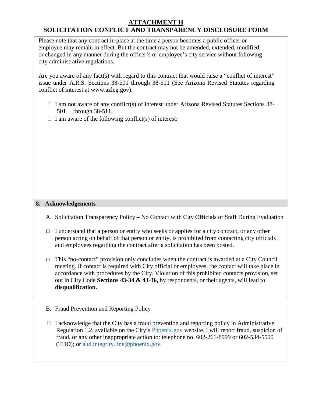Please note that any contract in place at the time a person becomes a public officer or employee may remain in effect. But the contract may not be amended, extended, modified, or changed in any manner during the officer's or employee's city service without following city administrative regulations.

Are you aware of any fact(s) with regard to this contract that would raise a "conflict of interest" issue under A.R.S. Sections 38-501 through 38-511 (See Arizona Revised Statutes regarding conflict of interest at www.azleg.gov).

- $\Box$  I am not aware of any conflict(s) of interest under Arizona Revised Statutes Sections 38-501 through 38-511.
- $\Box$  I am aware of the following conflict(s) of interest:

#### **8. Acknowledgements**

- A. Solicitation Transparency Policy No Contact with City Officials or Staff During Evaluation
- I understand that a person or entity who seeks or applies for a city contract, or any other person acting on behalf of that person or entity, is prohibited from contacting city officials and employees regarding the contract after a solicitation has been posted.
- $\Box$  This "no-contact" provision only concludes when the contract is awarded at a City Council meeting. If contact is required with City official or employees, the contact will take place in accordance with procedures by the City. Violation of this prohibited contacts provision, set out in City Code **Sections 43-34 & 43-36,** by respondents, or their agents, will lead to **disqualification.**
- B. Fraud Prevention and Reporting Policy
- $\Box$  I acknowledge that the City has a fraud prevention and reporting policy in Administrative Regulation 1.2, available on the City's Phoenix.gov website. I will report fraud, suspicion of fraud, or any other inappropriate action to: telephone no. 602-261-8999 or 602-534-5500 (TDD); or aud.integrity.line@phoenix.gov.